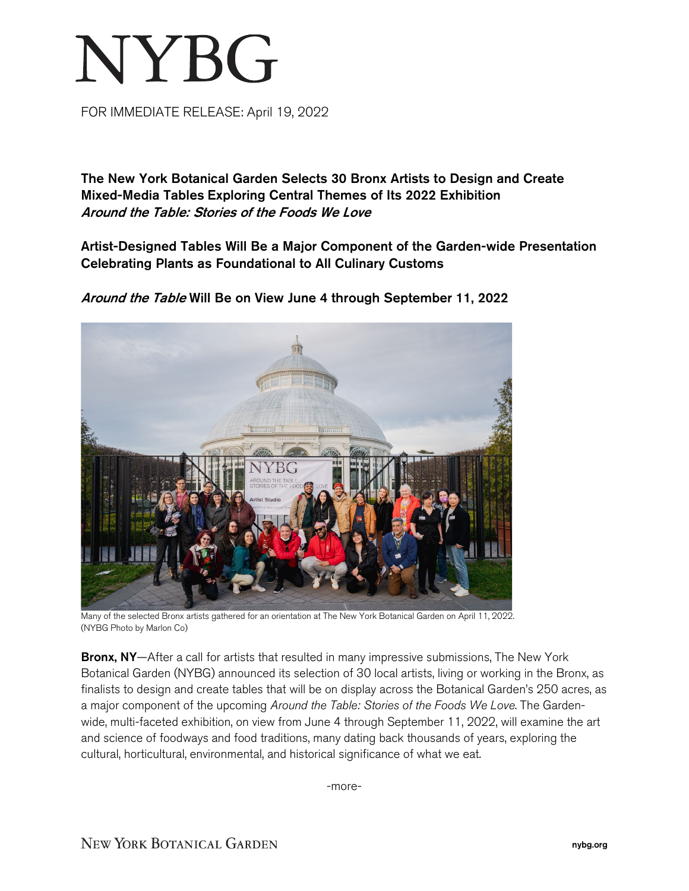## NYBG

FOR IMMEDIATE RELEASE: April 19, 2022

The New York Botanical Garden Selects 30 Bronx Artists to Design and Create Mixed-Media Tables Exploring Central Themes of Its 2022 Exhibition Around the Table: Stories of the Foods We Love

Artist-Designed Tables Will Be a Major Component of the Garden-wide Presentation Celebrating Plants as Foundational to All Culinary Customs



Around the Table Will Be on View June 4 through September 11, 2022

Many of the selected Bronx artists gathered for an orientation at The New York Botanical Garden on April 11, 2022. (NYBG Photo by Marlon Co)

Bronx, NY-After a call for artists that resulted in many impressive submissions, The New York Botanical Garden (NYBG) announced its selection of 30 local artists, living or working in the Bronx, as finalists to design and create tables that will be on display across the Botanical Garden's 250 acres, as a major component of the upcoming *Around the Table: Stories of the Foods We Love*. The Gardenwide, multi-faceted exhibition, on view from June 4 through September 11, 2022, will examine the art and science of foodways and food traditions, many dating back thousands of years, exploring the cultural, horticultural, environmental, and historical significance of what we eat.

-more-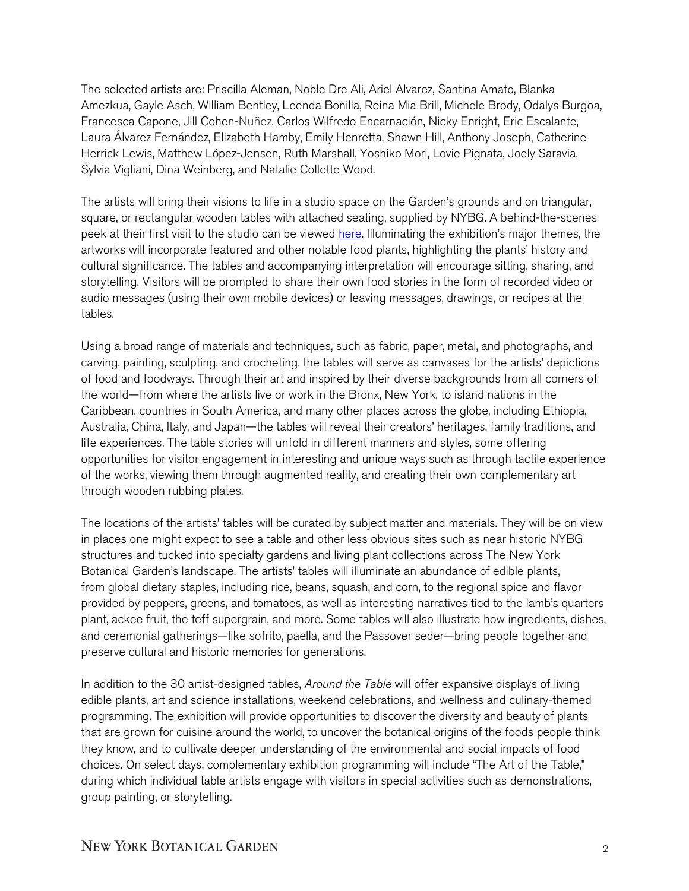The selected artists are: Priscilla Aleman, Noble Dre Ali, Ariel Alvarez, Santina Amato, Blanka Amezkua, Gayle Asch, William Bentley, Leenda Bonilla, Reina Mia Brill, Michele Brody, Odalys Burgoa, Francesca Capone, Jill Cohen-Nuñez, Carlos Wilfredo Encarnación, Nicky Enright, Eric Escalante, Laura Álvarez Fernández, Elizabeth Hamby, Emily Henretta, Shawn Hill, Anthony Joseph, Catherine Herrick Lewis, Matthew López-Jensen, Ruth Marshall, Yoshiko Mori, Lovie Pignata, Joely Saravia, Sylvia Vigliani, Dina Weinberg, and Natalie Collette Wood.

The artists will bring their visions to life in a studio space on the Garden's grounds and on triangular, square, or rectangular wooden tables with attached seating, supplied by NYBG. A behind-the-scenes peek at their first visit to the studio can be viewed [here.](https://vimeo.com/698773067/a2a4f7fcf2) Illuminating the exhibition's major themes, the artworks will incorporate featured and other notable food plants, highlighting the plants' history and cultural significance. The tables and accompanying interpretation will encourage sitting, sharing, and storytelling. Visitors will be prompted to share their own food stories in the form of recorded video or audio messages (using their own mobile devices) or leaving messages, drawings, or recipes at the tables.

Using a broad range of materials and techniques, such as fabric, paper, metal, and photographs, and carving, painting, sculpting, and crocheting, the tables will serve as canvases for the artists' depictions of food and foodways. Through their art and inspired by their diverse backgrounds from all corners of the world—from where the artists live or work in the Bronx, New York, to island nations in the Caribbean, countries in South America, and many other places across the globe, including Ethiopia, Australia, China, Italy, and Japan—the tables will reveal their creators' heritages, family traditions, and life experiences. The table stories will unfold in different manners and styles, some offering opportunities for visitor engagement in interesting and unique ways such as through tactile experience of the works, viewing them through augmented reality, and creating their own complementary art through wooden rubbing plates.

The locations of the artists' tables will be curated by subject matter and materials. They will be on view in places one might expect to see a table and other less obvious sites such as near historic NYBG structures and tucked into specialty gardens and living plant collections across The New York Botanical Garden's landscape. The artists' tables will illuminate an abundance of edible plants, from global dietary staples, including rice, beans, squash, and corn, to the regional spice and flavor provided by peppers, greens, and tomatoes, as well as interesting narratives tied to the lamb's quarters plant, ackee fruit, the teff supergrain, and more. Some tables will also illustrate how ingredients, dishes, and ceremonial gatherings—like sofrito, paella, and the Passover seder—bring people together and preserve cultural and historic memories for generations.

In addition to the 30 artist-designed tables, *Around the Table* will offer expansive displays of living edible plants, art and science installations, weekend celebrations, and wellness and culinary-themed programming. The exhibition will provide opportunities to discover the diversity and beauty of plants that are grown for cuisine around the world, to uncover the botanical origins of the foods people think they know, and to cultivate deeper understanding of the environmental and social impacts of food choices. On select days, complementary exhibition programming will include "The Art of the Table," during which individual table artists engage with visitors in special activities such as demonstrations, group painting, or storytelling.